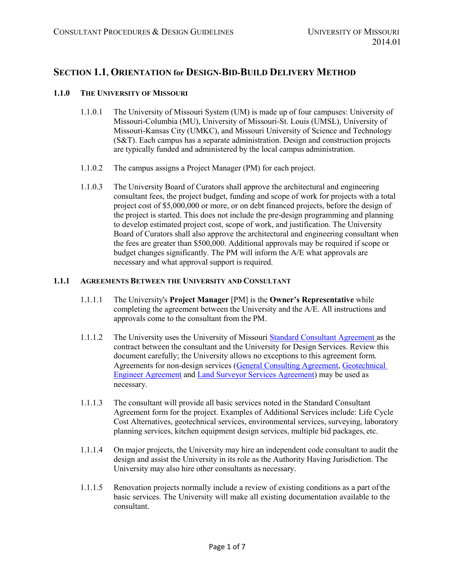# **SECTION 1.1, ORIENTATION for DESIGN-BID-BUILD DELIVERY METHOD**

### **1.1.0 THE UNIVERSITY OF MISSOURI**

- 1.1.0.1 The University of Missouri System (UM) is made up of four campuses: University of Missouri-Columbia (MU), University of Missouri-St. Louis (UMSL), University of Missouri-Kansas City (UMKC), and Missouri University of Science and Technology (S&T). Each campus has a separate administration. Design and construction projects are typically funded and administered by the local campus administration.
- 1.1.0.2 The campus assigns a Project Manager (PM) for each project.
- 1.1.0.3 The University Board of Curators shall approve the architectural and engineering consultant fees, the project budget, funding and scope of work for projects with a total project cost of \$5,000,000 or more, or on debt financed projects, before the design of the project is started. This does not include the pre-design programming and planning to develop estimated project cost, scope of work, and justification. The University Board of Curators shall also approve the architectural and engineering consultant when the fees are greater than \$500,000. Additional approvals may be required if scope or budget changes significantly. The PM will inform the A/E what approvals are necessary and what approval support is required.

#### **1.1.1 AGREEMENTS BETWEEN THE UNIVERSITY AND CONSULTANT**

- 1.1.1.1 The University's **Project Manager** [PM] is the **Owner's Representative** while completing the agreement between the University and the A/E. All instructions and approvals come to the consultant from the PM.
- 1.1.1.2 The University uses the University of Missouri [Standard Consultant Agreement](https://collaborate.umsystem.edu/sites/fpd/public/docs/Standard%20Consulting%20Agreement.pdf) as the contract between the consultant and the University for Design Services. Review this document carefully; the University allows no exceptions to this agreement form. Agreements for non-design services [\(General Consulting Agreement,](https://collaborate.umsystem.edu/sites/fpd/public/docs/General%20Consulting%20Agreement.docx?d=w072577afd6544a11b711224e8a4d6132) [Geotechnical](https://collaborate.umsystem.edu/sites/fpd/public/docs/geotechnical%20engineer%20agreement%20-%20no%20cover%20letter.docx?d=wa37f598ccb5f4b50b7d2d0a252f59576)  [Engineer Agreement](https://collaborate.umsystem.edu/sites/fpd/public/docs/geotechnical%20engineer%20agreement%20-%20no%20cover%20letter.docx?d=wa37f598ccb5f4b50b7d2d0a252f59576) and [Land Surveyor Services Agreement\)](https://collaborate.umsystem.edu/sites/fpd/public/docs/land%20surveyor%20agreement%20-%20no%20transmittal%20letter.docx?d=w3fcaf713aba44f5083e303739710d000) may be used as necessary.
- 1.1.1.3 The consultant will provide all basic services noted in the Standard Consultant Agreement form for the project. Examples of Additional Services include: Life Cycle Cost Alternatives, geotechnical services, environmental services, surveying, laboratory planning services, kitchen equipment design services, multiple bid packages, etc.
- 1.1.1.4 On major projects, the University may hire an independent code consultant to audit the design and assist the University in its role as the Authority Having Jurisdiction. The University may also hire other consultants as necessary.
- 1.1.1.5 Renovation projects normally include a review of existing conditions as a part ofthe basic services. The University will make all existing documentation available to the consultant.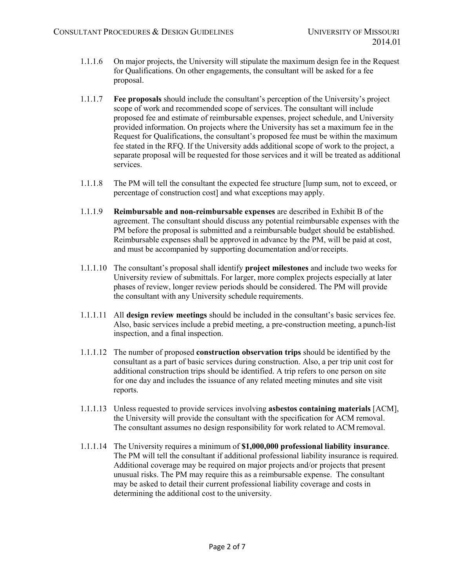- 1.1.1.6 On major projects, the University will stipulate the maximum design fee in the Request for Qualifications. On other engagements, the consultant will be asked for a fee proposal.
- 1.1.1.7 **Fee proposals** should include the consultant's perception of the University's project scope of work and recommended scope of services. The consultant will include proposed fee and estimate of reimbursable expenses, project schedule, and University provided information. On projects where the University has set a maximum fee in the Request for Qualifications, the consultant's proposed fee must be within the maximum fee stated in the RFQ. If the University adds additional scope of work to the project, a separate proposal will be requested for those services and it will be treated as additional services.
- 1.1.1.8 The PM will tell the consultant the expected fee structure [lump sum, not to exceed, or percentage of construction cost] and what exceptions may apply.
- 1.1.1.9 **Reimbursable and non-reimbursable expenses** are described in Exhibit B of the agreement. The consultant should discuss any potential reimbursable expenses with the PM before the proposal is submitted and a reimbursable budget should be established. Reimbursable expenses shall be approved in advance by the PM, will be paid at cost, and must be accompanied by supporting documentation and/or receipts.
- 1.1.1.10 The consultant's proposal shall identify **project milestones** and include two weeks for University review of submittals. For larger, more complex projects especially at later phases of review, longer review periods should be considered. The PM will provide the consultant with any University schedule requirements.
- 1.1.1.11 All **design review meetings** should be included in the consultant's basic services fee. Also, basic services include a prebid meeting, a pre-construction meeting, a punch-list inspection, and a final inspection.
- 1.1.1.12 The number of proposed **construction observation trips** should be identified by the consultant as a part of basic services during construction. Also, a per trip unit cost for additional construction trips should be identified. A trip refers to one person on site for one day and includes the issuance of any related meeting minutes and site visit reports.
- 1.1.1.13 Unless requested to provide services involving **asbestos containing materials** [ACM], the University will provide the consultant with the specification for ACM removal. The consultant assumes no design responsibility for work related to ACM removal.
- 1.1.1.14 The University requires a minimum of **\$1,000,000 professional liability insurance**. The PM will tell the consultant if additional professional liability insurance is required. Additional coverage may be required on major projects and/or projects that present unusual risks. The PM may require this as a reimbursable expense. The consultant may be asked to detail their current professional liability coverage and costs in determining the additional cost to the university.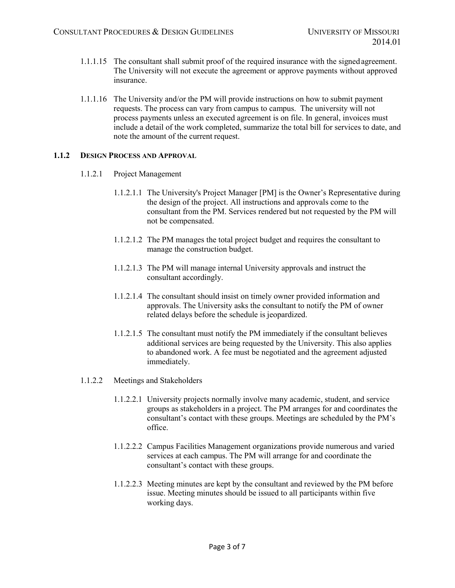- 1.1.1.15 The consultant shall submit proof of the required insurance with the signed agreement. The University will not execute the agreement or approve payments without approved insurance.
- 1.1.1.16 The University and/or the PM will provide instructions on how to submit payment requests. The process can vary from campus to campus. The university will not process payments unless an executed agreement is on file. In general, invoices must include a detail of the work completed, summarize the total bill for services to date, and note the amount of the current request.

# **1.1.2 DESIGN PROCESS AND APPROVAL**

- 1.1.2.1 Project Management
	- 1.1.2.1.1 The University's Project Manager [PM] is the Owner's Representative during the design of the project. All instructions and approvals come to the consultant from the PM. Services rendered but not requested by the PM will not be compensated.
	- 1.1.2.1.2 The PM manages the total project budget and requires the consultant to manage the construction budget.
	- 1.1.2.1.3 The PM will manage internal University approvals and instruct the consultant accordingly.
	- 1.1.2.1.4 The consultant should insist on timely owner provided information and approvals. The University asks the consultant to notify the PM of owner related delays before the schedule is jeopardized.
	- 1.1.2.1.5 The consultant must notify the PM immediately if the consultant believes additional services are being requested by the University. This also applies to abandoned work. A fee must be negotiated and the agreement adjusted immediately.
- 1.1.2.2 Meetings and Stakeholders
	- 1.1.2.2.1 University projects normally involve many academic, student, and service groups as stakeholders in a project. The PM arranges for and coordinates the consultant's contact with these groups. Meetings are scheduled by the PM's office.
	- 1.1.2.2.2 Campus Facilities Management organizations provide numerous and varied services at each campus. The PM will arrange for and coordinate the consultant's contact with these groups.
	- 1.1.2.2.3 Meeting minutes are kept by the consultant and reviewed by the PM before issue. Meeting minutes should be issued to all participants within five working days.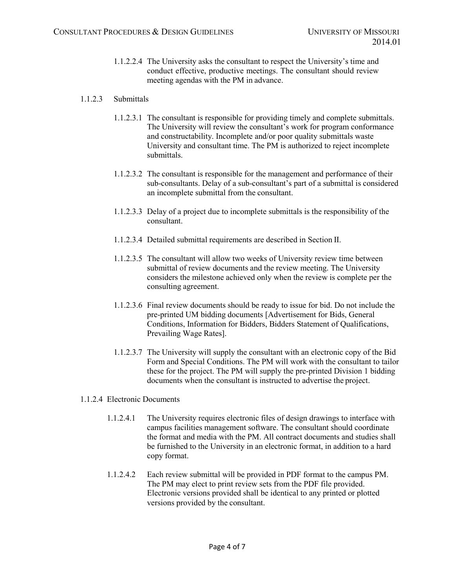1.1.2.2.4 The University asks the consultant to respect the University's time and conduct effective, productive meetings. The consultant should review meeting agendas with the PM in advance.

## 1.1.2.3 Submittals

- 1.1.2.3.1 The consultant is responsible for providing timely and complete submittals. The University will review the consultant's work for program conformance and constructability. Incomplete and/or poor quality submittals waste University and consultant time. The PM is authorized to reject incomplete submittals.
- 1.1.2.3.2 The consultant is responsible for the management and performance of their sub-consultants. Delay of a sub-consultant's part of a submittal is considered an incomplete submittal from the consultant.
- 1.1.2.3.3 Delay of a project due to incomplete submittals is the responsibility of the consultant.
- 1.1.2.3.4 Detailed submittal requirements are described in Section II.
- 1.1.2.3.5 The consultant will allow two weeks of University review time between submittal of review documents and the review meeting. The University considers the milestone achieved only when the review is complete per the consulting agreement.
- 1.1.2.3.6 Final review documents should be ready to issue for bid. Do not include the pre-printed UM bidding documents [Advertisement for Bids, General Conditions, Information for Bidders, Bidders Statement of Qualifications, Prevailing Wage Rates].
- 1.1.2.3.7 The University will supply the consultant with an electronic copy of the Bid Form and Special Conditions. The PM will work with the consultant to tailor these for the project. The PM will supply the pre-printed Division 1 bidding documents when the consultant is instructed to advertise the project.

#### 1.1.2.4 Electronic Documents

- 1.1.2.4.1 The University requires electronic files of design drawings to interface with campus facilities management software. The consultant should coordinate the format and media with the PM. All contract documents and studies shall be furnished to the University in an electronic format, in addition to a hard copy format.
- 1.1.2.4.2 Each review submittal will be provided in PDF format to the campus PM. The PM may elect to print review sets from the PDF file provided. Electronic versions provided shall be identical to any printed or plotted versions provided by the consultant.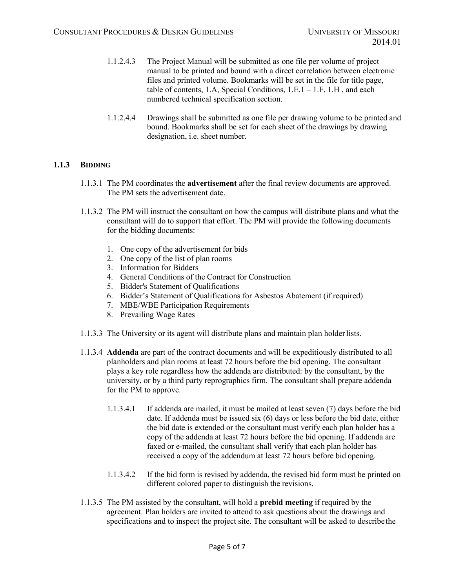- 1.1.2.4.3 The Project Manual will be submitted as one file per volume of project manual to be printed and bound with a direct correlation between electronic files and printed volume. Bookmarks will be set in the file for title page, table of contents, 1.A, Special Conditions,  $1.E.1 - 1.F, 1.H$ , and each numbered technical specification section.
- 1.1.2.4.4 Drawings shall be submitted as one file per drawing volume to be printed and bound. Bookmarks shall be set for each sheet of the drawings by drawing designation, i.e. sheet number.

# **1.1.3 BIDDING**

- 1.1.3.1 The PM coordinates the **advertisement** after the final review documents are approved. The PM sets the advertisement date.
- 1.1.3.2 The PM will instruct the consultant on how the campus will distribute plans and what the consultant will do to support that effort. The PM will provide the following documents for the bidding documents:
	- 1. One copy of the advertisement for bids
	- 2. One copy of the list of plan rooms
	- 3. Information for Bidders
	- 4. General Conditions of the Contract for Construction
	- 5. Bidder's Statement of Qualifications
	- 6. Bidder's Statement of Qualifications for Asbestos Abatement (if required)
	- 7. MBE/WBE Participation Requirements
	- 8. Prevailing Wage Rates
- 1.1.3.3 The University or its agent will distribute plans and maintain plan holderlists.
- 1.1.3.4 **Addenda** are part of the contract documents and will be expeditiously distributed to all planholders and plan rooms at least 72 hours before the bid opening. The consultant plays a key role regardless how the addenda are distributed: by the consultant, by the university, or by a third party reprographics firm. The consultant shall prepare addenda for the PM to approve.
	- 1.1.3.4.1 If addenda are mailed, it must be mailed at least seven (7) days before the bid date. If addenda must be issued six (6) days or less before the bid date, either the bid date is extended or the consultant must verify each plan holder has a copy of the addenda at least 72 hours before the bid opening. If addenda are faxed or e-mailed, the consultant shall verify that each plan holder has received a copy of the addendum at least 72 hours before bid opening.
	- 1.1.3.4.2 If the bid form is revised by addenda, the revised bid form must be printed on different colored paper to distinguish the revisions.
- 1.1.3.5 The PM assisted by the consultant, will hold a **prebid meeting** if required by the agreement. Plan holders are invited to attend to ask questions about the drawings and specifications and to inspect the project site. The consultant will be asked to describethe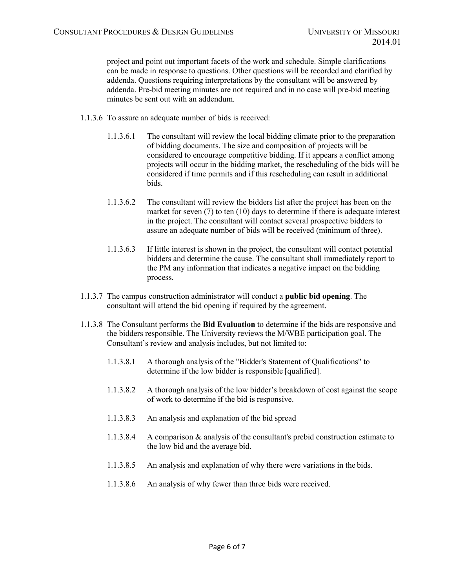project and point out important facets of the work and schedule. Simple clarifications can be made in response to questions. Other questions will be recorded and clarified by addenda. Questions requiring interpretations by the consultant will be answered by addenda. Pre-bid meeting minutes are not required and in no case will pre-bid meeting minutes be sent out with an addendum.

- 1.1.3.6 To assure an adequate number of bids is received:
	- 1.1.3.6.1 The consultant will review the local bidding climate prior to the preparation of bidding documents. The size and composition of projects will be considered to encourage competitive bidding. If it appears a conflict among projects will occur in the bidding market, the rescheduling of the bids will be considered if time permits and if this rescheduling can result in additional bids.
	- 1.1.3.6.2 The consultant will review the bidders list after the project has been on the market for seven (7) to ten (10) days to determine if there is adequate interest in the project. The consultant will contact several prospective bidders to assure an adequate number of bids will be received (minimum of three).
	- 1.1.3.6.3 If little interest is shown in the project, the consultant will contact potential bidders and determine the cause. The consultant shall immediately report to the PM any information that indicates a negative impact on the bidding process.
- 1.1.3.7 The campus construction administrator will conduct a **public bid opening**. The consultant will attend the bid opening if required by the agreement.
- 1.1.3.8 The Consultant performs the **Bid Evaluation** to determine if the bids are responsive and the bidders responsible. The University reviews the M/WBE participation goal. The Consultant's review and analysis includes, but not limited to:
	- 1.1.3.8.1 A thorough analysis of the "Bidder's Statement of Qualifications" to determine if the low bidder is responsible [qualified].
	- 1.1.3.8.2 A thorough analysis of the low bidder's breakdown of cost against the scope of work to determine if the bid is responsive.
	- 1.1.3.8.3 An analysis and explanation of the bid spread
	- 1.1.3.8.4 A comparison & analysis of the consultant's prebid construction estimate to the low bid and the average bid.
	- 1.1.3.8.5 An analysis and explanation of why there were variations in the bids.
	- 1.1.3.8.6 An analysis of why fewer than three bids were received.